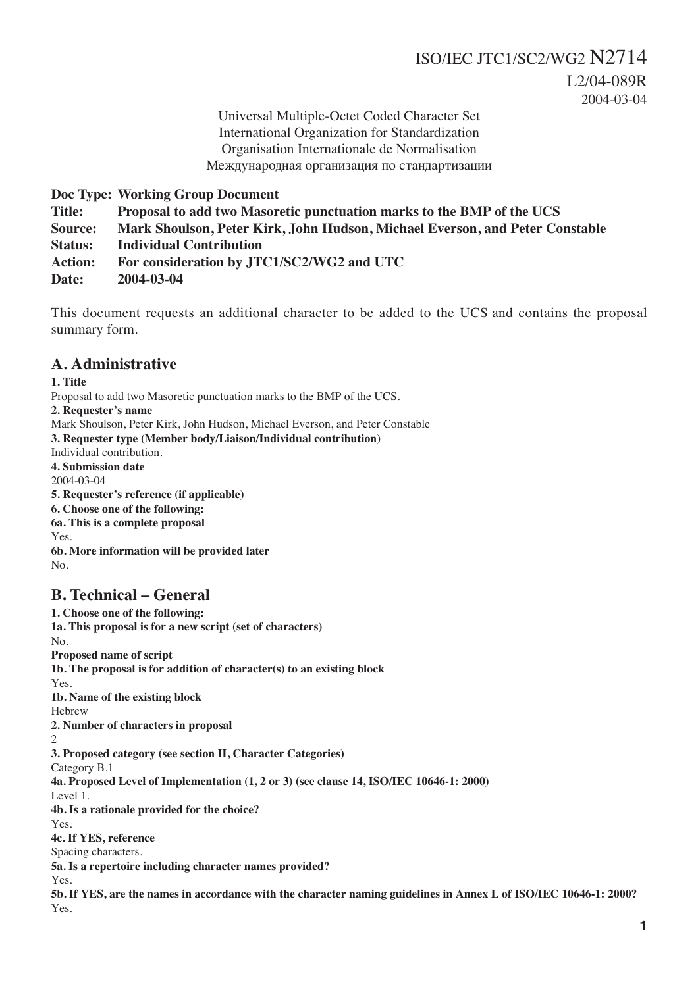Universal Multiple-Octet Coded Character Set International Organization for Standardization Organisation Internationale de Normalisation Международная организация по стандартизации

**Doc Type: Working Group Document**

**Title: Proposal to add two Masoretic punctuation marks to the BMP of the UCS**

**Source: Mark Shoulson, Peter Kirk, John Hudson, Michael Everson, and Peter Constable**

**Status: Individual Contribution**

**Action: For consideration by JTC1/SC2/WG2 and UTC**

**Date: 2004-03-04**

This document requests an additional character to be added to the UCS and contains the proposal summary form.

#### **A. Administrative**

**1. Title** Proposal to add two Masoretic punctuation marks to the BMP of the UCS. **2. Requester's name** Mark Shoulson, Peter Kirk, John Hudson, Michael Everson, and Peter Constable **3. Requester type (Member body/Liaison/Individual contribution)** Individual contribution. **4. Submission date** 2004-03-04 **5. Requester's reference (if applicable) 6. Choose one of the following: 6a. This is a complete proposal** Yes. **6b. More information will be provided later**

## **B. Technical – General**

 $N<sub>0</sub>$ 

**1. Choose one of the following: 1a. This proposal is for a new script (set of characters)** No. **Proposed name of script 1b. The proposal is for addition of character(s) to an existing block** Yes. **1b. Name of the existing block** Hebrew **2. Number of characters in proposal**  $\mathfrak{D}$ **3. Proposed category (see section II, Character Categories)** Category B.1 **4a. Proposed Level of Implementation (1, 2 or 3) (see clause 14, ISO/IEC 10646-1: 2000)** Level 1. **4b. Is a rationale provided for the choice?** Yes. **4c. If YES, reference** Spacing characters. **5a. Is a repertoire including character names provided?** Yes. **5b. If YES, are the names in accordance with the character naming guidelines in Annex L of ISO/IEC 10646-1: 2000?** Yes.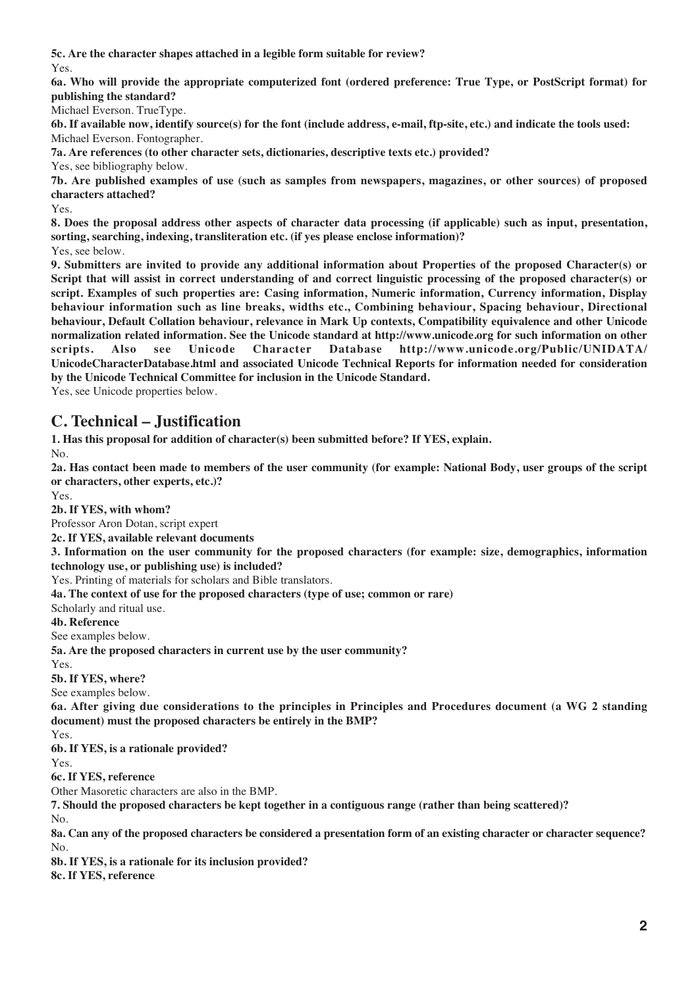**5c. Are the character shapes attached in a legible form suitable for review?** Yes.

**6a. Who will provide the appropriate computerized font (ordered preference: True Type, or PostScript format) for publishing the standard?**

Michael Everson. TrueType.

**6b. If available now, identify source(s) for the font (include address, e-mail, ftp-site, etc.) and indicate the tools used:** Michael Everson. Fontographer.

**7a. Are references (to other character sets, dictionaries, descriptive texts etc.) provided?**

Yes, see bibliography below.

**7b. Are published examples of use (such as samples from newspapers, magazines, or other sources) of proposed characters attached?**

Yes.

**8. Does the proposal address other aspects of character data processing (if applicable) such as input, presentation, sorting, searching, indexing, transliteration etc. (if yes please enclose information)?** Yes, see below.

**9. Submitters are invited to provide any additional information about Properties of the proposed Character(s) or Script that will assist in correct understanding of and correct linguistic processing of the proposed character(s) or script. Examples of such properties are: Casing information, Numeric information, Currency information, Display behaviour information such as line breaks, widths etc., Combining behaviour, Spacing behaviour, Directional behaviour, Default Collation behaviour, relevance in Mark Up contexts, Compatibility equivalence and other Unicode normalization related information. See the Unicode standard at http://www.unicode.org for such information on other scripts. Also see Unicode Character Database http://www.unicode.org/Public/UNIDATA/ UnicodeCharacterDatabase.html and associated Unicode Technical Reports for information needed for consideration by the Unicode Technical Committee for inclusion in the Unicode Standard.**

Yes, see Unicode properties below.

## **C. Technical – Justification**

**1. Has this proposal for addition of character(s) been submitted before? If YES, explain.**

No.

**2a. Has contact been made to members of the user community (for example: National Body, user groups of the script or characters, other experts, etc.)?**

Yes.

**2b. If YES, with whom?**

Professor Aron Dotan, script expert

**2c. If YES, available relevant documents**

**3. Information on the user community for the proposed characters (for example: size, demographics, information technology use, or publishing use) is included?**

Yes. Printing of materials for scholars and Bible translators.

**4a. The context of use for the proposed characters (type of use; common or rare)**

Scholarly and ritual use.

**4b. Reference**

See examples below.

**5a. Are the proposed characters in current use by the user community?**

Yes.

**5b. If YES, where?**

See examples below.

**6a. After giving due considerations to the principles in Principles and Procedures document (a WG 2 standing document) must the proposed characters be entirely in the BMP?**

Yes.

**6b. If YES, is a rationale provided?**

Yes.

**6c. If YES, reference**

Other Masoretic characters are also in the BMP.

**7. Should the proposed characters be kept together in a contiguous range (rather than being scattered)?**

No.

**8a. Can any of the proposed characters be considered a presentation form of an existing character or character sequence?** No.

**8b. If YES, is a rationale for its inclusion provided?**

**8c. If YES, reference**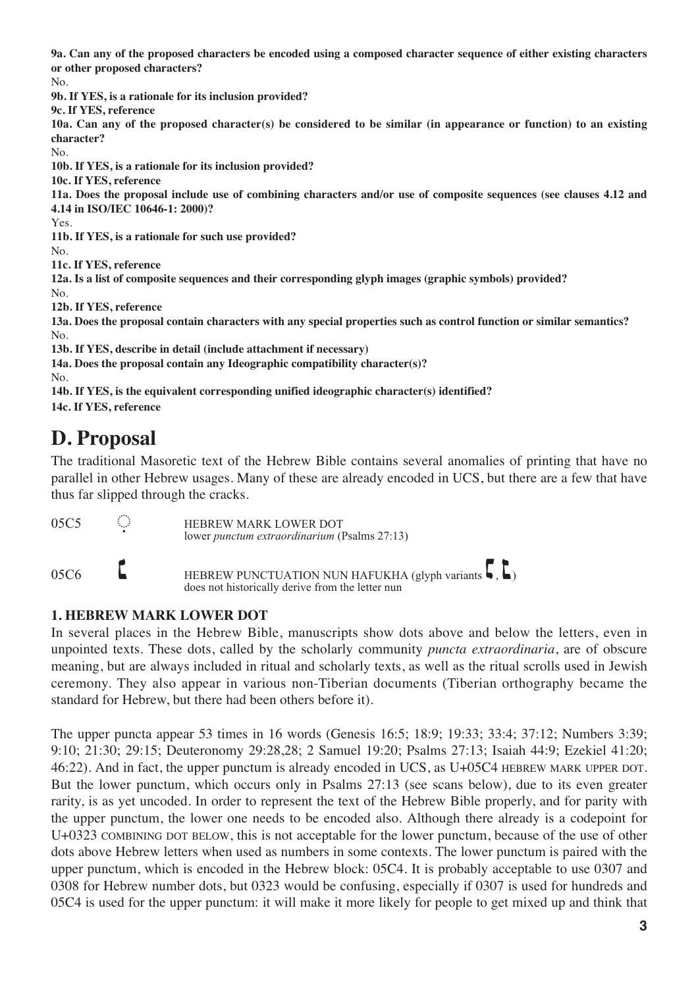**9a. Can any of the proposed characters be encoded using a composed character sequence of either existing characters or other proposed characters?**

No.

**9b. If YES, is a rationale for its inclusion provided?**

**9c. If YES, reference**

**10a. Can any of the proposed character(s) be considered to be similar (in appearance or function) to an existing character?**

No.

**10b. If YES, is a rationale for its inclusion provided?**

**10c. If YES, reference**

**11a. Does the proposal include use of combining characters and/or use of composite sequences (see clauses 4.12 and 4.14 in ISO/IEC 10646-1: 2000)?**

Yes.

**11b. If YES, is a rationale for such use provided?**

No.

**11c. If YES, reference**

**12a. Is a list of composite sequences and their corresponding glyph images (graphic symbols) provided?**

No.

**12b. If YES, reference**

**13a. Does the proposal contain characters with any special properties such as control function or similar semantics?** No.

**13b. If YES, describe in detail (include attachment if necessary)**

**14a. Does the proposal contain any Ideographic compatibility character(s)?**

No.

**14b. If YES, is the equivalent corresponding unified ideographic character(s) identified?**

**14c. If YES, reference**

# **D. Proposal**

The traditional Masoretic text of the Hebrew Bible contains several anomalies of printing that have no parallel in other Hebrew usages. Many of these are already encoded in UCS, but there are a few that have thus far slipped through the cracks.

| 05C5 | ⊙ | <b>HEBREW MARK LOWER DOT</b><br>lower punctum extraordinarium (Psalms 27:13)                                             |
|------|---|--------------------------------------------------------------------------------------------------------------------------|
| 05C6 |   | HEBREW PUNCTUATION NUN HAFUKHA (glyph variants $\langle , \rangle$ )<br>does not historically derive from the letter nun |

### **1. HEBREW MARK LOWER DOT**

In several places in the Hebrew Bible, manuscripts show dots above and below the letters, even in unpointed texts. These dots, called by the scholarly community *puncta extraordinaria*, are of obscure meaning, but are always included in ritual and scholarly texts, as well as the ritual scrolls used in Jewish ceremony. They also appear in various non-Tiberian documents (Tiberian orthography became the standard for Hebrew, but there had been others before it).

The upper puncta appear 53 times in 16 words (Genesis 16:5; 18:9; 19:33; 33:4; 37:12; Numbers 3:39; 9:10; 21:30; 29:15; Deuteronomy 29:28,28; 2 Samuel 19:20; Psalms 27:13; Isaiah 44:9; Ezekiel 41:20; 46:22). And in fact, the upper punctum is already encoded in UCS, as U+05C4 HEBREW MARK UPPER DOT. But the lower punctum, which occurs only in Psalms 27:13 (see scans below), due to its even greater rarity, is as yet uncoded. In order to represent the text of the Hebrew Bible properly, and for parity with the upper punctum, the lower one needs to be encoded also. Although there already is a codepoint for U+0323 COMBINING DOT BELOW, this is not acceptable for the lower punctum, because of the use of other dots above Hebrew letters when used as numbers in some contexts. The lower punctum is paired with the upper punctum, which is encoded in the Hebrew block: 05C4. It is probably acceptable to use 0307 and 0308 for Hebrew number dots, but 0323 would be confusing, especially if 0307 is used for hundreds and 05C4 is used for the upper punctum: it will make it more likely for people to get mixed up and think that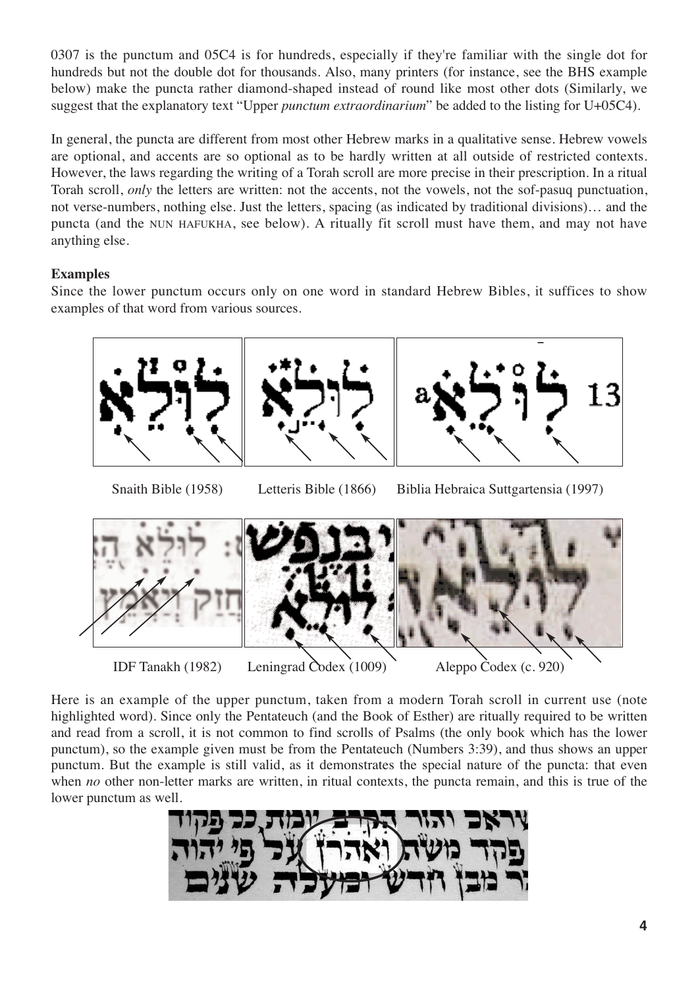0307 is the punctum and 05C4 is for hundreds, especially if they're familiar with the single dot for hundreds but not the double dot for thousands. Also, many printers (for instance, see the BHS example below) make the puncta rather diamond-shaped instead of round like most other dots (Similarly, we suggest that the explanatory text "Upper *punctum extraordinarium*" be added to the listing for U+05C4).

In general, the puncta are different from most other Hebrew marks in a qualitative sense. Hebrew vowels are optional, and accents are so optional as to be hardly written at all outside of restricted contexts. However, the laws regarding the writing of a Torah scroll are more precise in their prescription. In a ritual Torah scroll, *only* the letters are written: not the accents, not the vowels, not the sof-pasuq punctuation, not verse-numbers, nothing else. Just the letters, spacing (as indicated by traditional divisions)… and the puncta (and the NUN HAFUKHA, see below). A ritually fit scroll must have them, and may not have anything else.

#### **Examples**

Since the lower punctum occurs only on one word in standard Hebrew Bibles, it suffices to show examples of that word from various sources.



## Snaith Bible (1958) Letteris Bible (1866) Biblia Hebraica Suttgartensia (1997)



Here is an example of the upper punctum, taken from a modern Torah scroll in current use (note highlighted word). Since only the Pentateuch (and the Book of Esther) are ritually required to be written and read from a scroll, it is not common to find scrolls of Psalms (the only book which has the lower punctum), so the example given must be from the Pentateuch (Numbers 3:39), and thus shows an upper punctum. But the example is still valid, as it demonstrates the special nature of the puncta: that even when *no* other non-letter marks are written, in ritual contexts, the puncta remain, and this is true of the lower punctum as well.

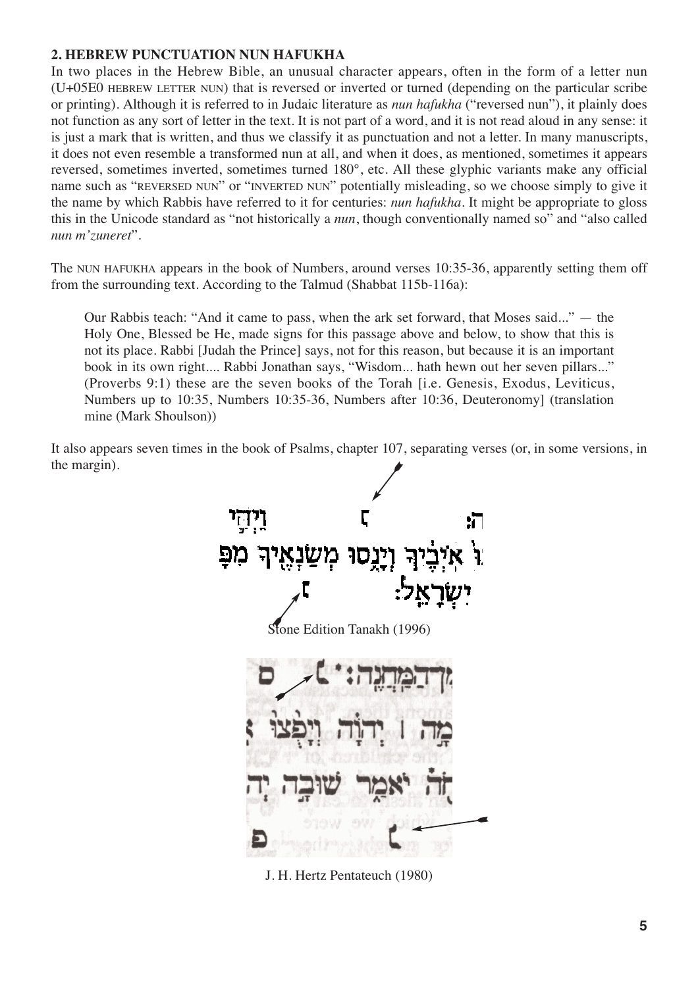#### **2. HEBREW PUNCTUATION NUN HAFUKHA**

In two places in the Hebrew Bible, an unusual character appears, often in the form of a letter nun (U+05E0 HEBREW LETTER NUN) that is reversed or inverted or turned (depending on the particular scribe or printing). Although it is referred to in Judaic literature as *nun hafukha* ("reversed nun"), it plainly does not function as any sort of letter in the text. It is not part of a word, and it is not read aloud in any sense: it is just a mark that is written, and thus we classify it as punctuation and not a letter. In many manuscripts, it does not even resemble a transformed nun at all, and when it does, as mentioned, sometimes it appears reversed, sometimes inverted, sometimes turned 180°, etc. All these glyphic variants make any official name such as "REVERSED NUN" or "INVERTED NUN" potentially misleading, so we choose simply to give it the name by which Rabbis have referred to it for centuries: *nun hafukha*. It might be appropriate to gloss this in the Unicode standard as "not historically a *nun*, though conventionally named so" and "also called *nun m'zuneret*".

The NUN HAFUKHA appears in the book of Numbers, around verses 10:35-36, apparently setting them off from the surrounding text. According to the Talmud (Shabbat 115b-116a):

Our Rabbis teach: "And it came to pass, when the ark set forward, that Moses said..." — the Holy One, Blessed be He, made signs for this passage above and below, to show that this is not its place. Rabbi [Judah the Prince] says, not for this reason, but because it is an important book in its own right.... Rabbi Jonathan says, "Wisdom... hath hewn out her seven pillars..." (Proverbs 9:1) these are the seven books of the Torah [i.e. Genesis, Exodus, Leviticus, Numbers up to 10:35, Numbers 10:35-36, Numbers after 10:36, Deuteronomy] (translation mine (Mark Shoulson))

It also appears seven times in the book of Psalms, chapter 107, separating verses (or, in some versions, in the margin).



J. H. Hertz Pentateuch (1980)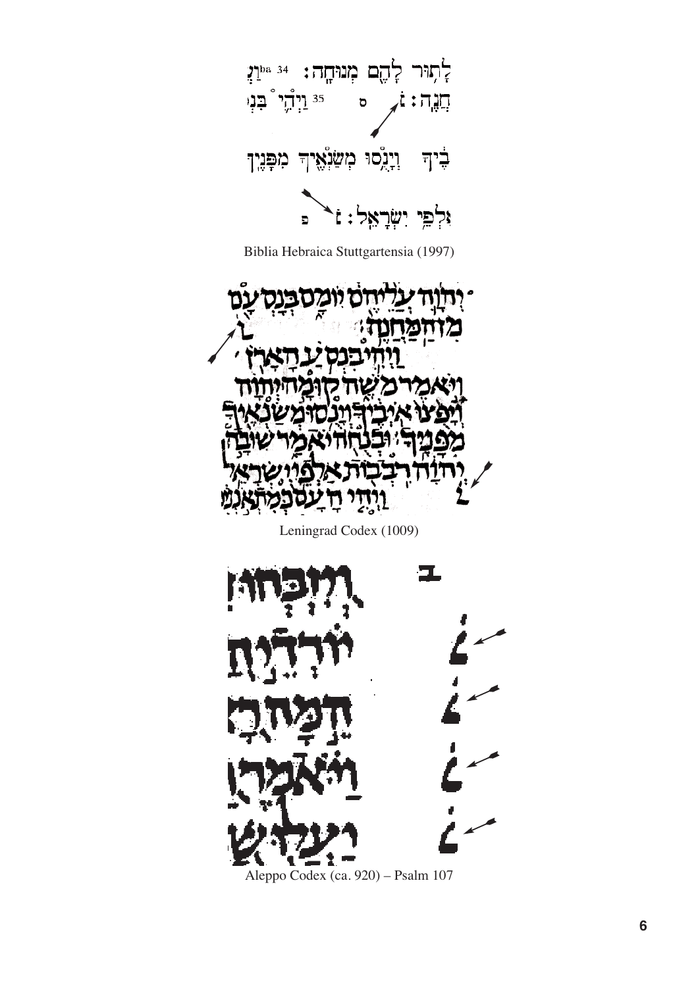

Biblia Hebraica Stuttgartensia (1997)



Leningrad Codex (1009)



Aleppo Codex (ca. 920) – Psalm 107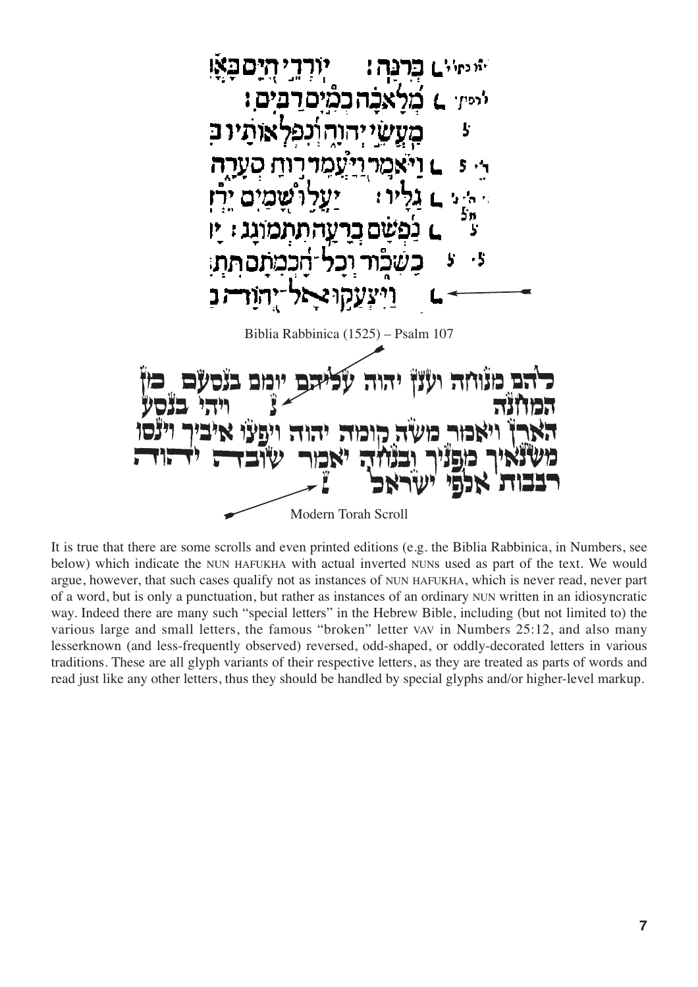

It is true that there are some scrolls and even printed editions (e.g. the Biblia Rabbinica, in Numbers, see below) which indicate the NUN HAFUKHA with actual inverted NUNs used as part of the text. We would argue, however, that such cases qualify not as instances of NUN HAFUKHA, which is never read, never part of a word, but is only a punctuation, but rather as instances of an ordinary NUN written in an idiosyncratic way. Indeed there are many such "special letters" in the Hebrew Bible, including (but not limited to) the various large and small letters, the famous "broken" letter VAV in Numbers 25:12, and also many lesserknown (and less-frequently observed) reversed, odd-shaped, or oddly-decorated letters in various traditions. These are all glyph variants of their respective letters, as they are treated as parts of words and read just like any other letters, thus they should be handled by special glyphs and/or higher-level markup.